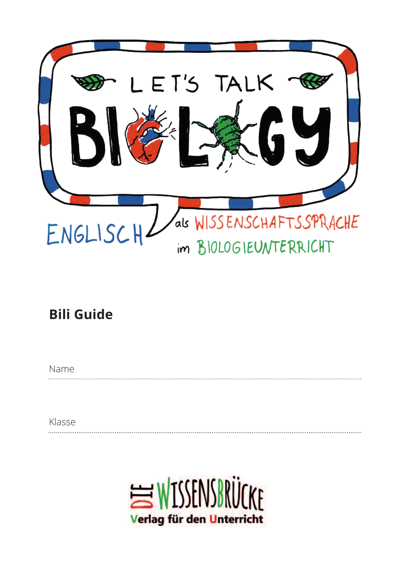

## **Bili Guide**

Name

Klasse

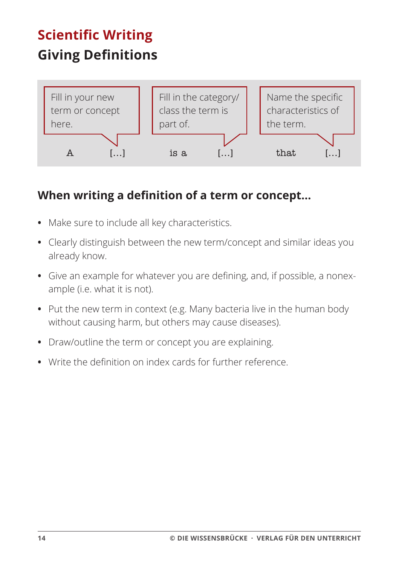# **Scientific Writing Giving Definitions**



#### **When writing a deȴnition of a term or concept…**

- **•** Make sure to include all key characteristics.
- **•** Clearly distinguish between the new term/concept and similar ideas you already know.
- Give an example for whatever you are defining, and, if possible, a nonexample (i.e. what it is not).
- **•** Put the new term in context (e.g. Many bacteria live in the human body without causing harm, but others may cause diseases).
- **•** Draw/outline the term or concept you are explaining.
- Write the definition on index cards for further reference.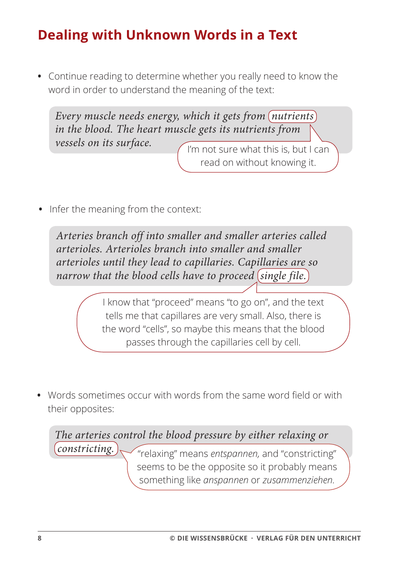## **Dealing with Unknown Words in a Text**

**•** Continue reading to determine whether you really need to know the word in order to understand the meaning of the text:

*Every muscle needs energy, which it gets from nutrients in the blood. The heart muscle gets its nutrients from vessels on its surface.* The not sure what this is, but I can

read on without knowing it.

**•** Infer the meaning from the context:

*Arteries branch off into smaller and smaller arteries called arterioles. Arterioles branch into smaller and smaller arterioles until they lead to capillaries. Capillaries are so narrow that the blood cells have to proceed (single file.)* 

> I know that "proceed" means "to go on", and the text tells me that capillares are very small. Also, there is the word "cells", so maybe this means that the blood passes through the capillaries cell by cell.

• Words sometimes occur with words from the same word field or with their opposites:

"relaxing" means *entspannen,* and "constricting" seems to be the opposite so it probably means something like *anspannen* or *zusammenziehen. The arteries control the blood pressure by either relaxing or constricting.*